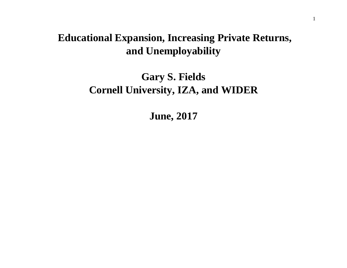# **Educational Expansion, Increasing Private Returns, and Unemployability**

# **Gary S. Fields Cornell University, IZA, and WIDER**

**June, 2017**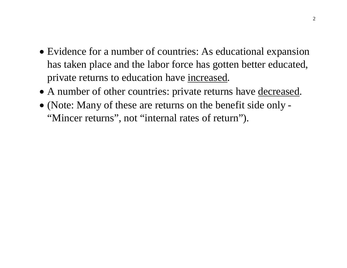- Evidence for a number of countries: As educational expansion has taken place and the labor force has gotten better educated, private returns to education have increased.
- A number of other countries: private returns have decreased.
- (Note: Many of these are returns on the benefit side only "Mincer returns", not "internal rates of return").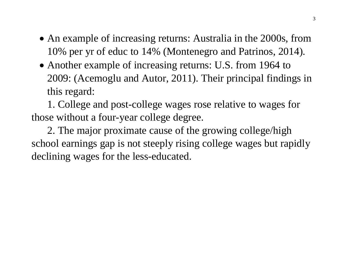- An example of increasing returns: Australia in the 2000s, from 10% per yr of educ to 14% (Montenegro and Patrinos, 2014).
- Another example of increasing returns: U.S. from 1964 to 2009: (Acemoglu and Autor, 2011). Their principal findings in this regard:

1. College and post-college wages rose relative to wages for those without a four-year college degree.

2. The major proximate cause of the growing college/high school earnings gap is not steeply rising college wages but rapidly declining wages for the less-educated.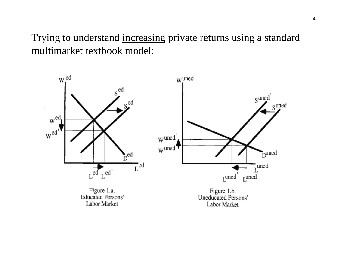Trying to understand increasing private returns using a standard multimarket textbook model:

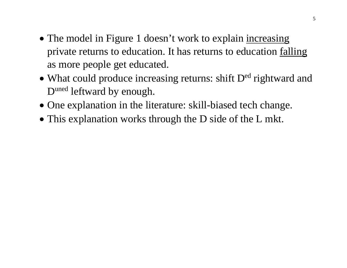- The model in Figure 1 doesn't work to explain increasing private returns to education. It has returns to education falling as more people get educated.
- What could produce increasing returns: shift D<sup>ed</sup> rightward and D<sup>uned</sup> leftward by enough.
- One explanation in the literature: skill-biased tech change.
- This explanation works through the D side of the L mkt.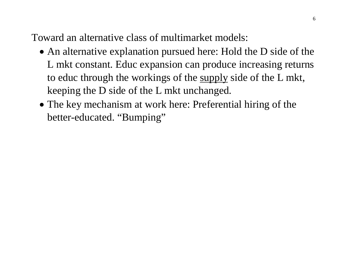Toward an alternative class of multimarket models:

- An alternative explanation pursued here: Hold the D side of the L mkt constant. Educ expansion can produce increasing returns to educ through the workings of the supply side of the L mkt, keeping the D side of the L mkt unchanged.
- The key mechanism at work here: Preferential hiring of the better-educated. "Bumping"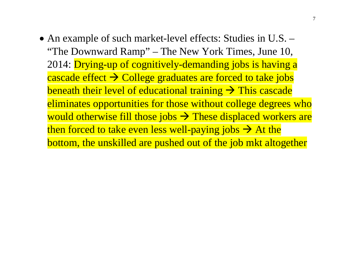• An example of such market-level effects: Studies in U.S. – "The Downward Ramp" – The New York Times, June 10, 2014: Drying-up of cognitively-demanding jobs is having a cascade effect  $\rightarrow$  College graduates are forced to take jobs beneath their level of educational training  $\rightarrow$  This cascade eliminates opportunities for those without college degrees who would otherwise fill those jobs  $\rightarrow$  These displaced workers are then forced to take even less well-paying jobs  $\rightarrow$  At the bottom, the unskilled are pushed out of the job mkt altogether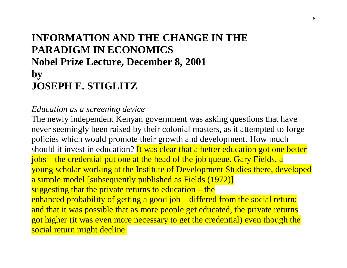# **INFORMATION AND THE CHANGE IN THE PARADIGM IN ECONOMICS Nobel Prize Lecture, December 8, 2001 by JOSEPH E. STIGLITZ**

#### *Education as a screening device*

The newly independent Kenyan government was asking questions that have never seemingly been raised by their colonial masters, as it attempted to forge policies which would promote their growth and development. How much should it invest in education? It was clear that a better education got one better jobs – the credential put one at the head of the job queue. Gary Fields, a young scholar working at the Institute of Development Studies there, developed a simple model [subsequently published as Fields (1972)] suggesting that the private returns to education – the enhanced probability of getting a good job – differed from the social return; and that it was possible that as more people get educated, the private returns got higher (it was even more necessary to get the credential) even though the social return might decline.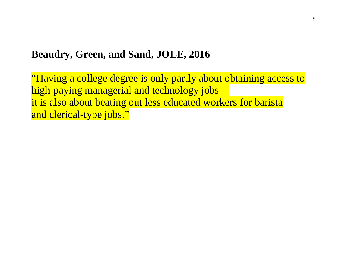### **Beaudry, Green, and Sand, JOLE, 2016**

"Having a college degree is only partly about obtaining access to high-paying managerial and technology jobs it is also about beating out less educated workers for barista and clerical-type jobs."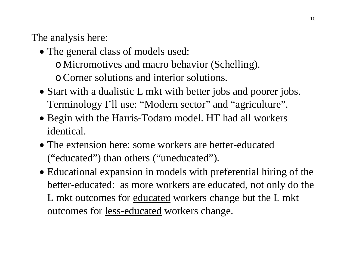The analysis here:

- The general class of models used: o Micromotives and macro behavior (Schelling). oCorner solutions and interior solutions.
- Start with a dualistic L mkt with better jobs and poorer jobs. Terminology I'll use: "Modern sector" and "agriculture".
- Begin with the Harris-Todaro model. HT had all workers identical.
- The extension here: some workers are better-educated ("educated") than others ("uneducated").
- Educational expansion in models with preferential hiring of the better-educated: as more workers are educated, not only do the L mkt outcomes for educated workers change but the L mkt outcomes for less-educated workers change.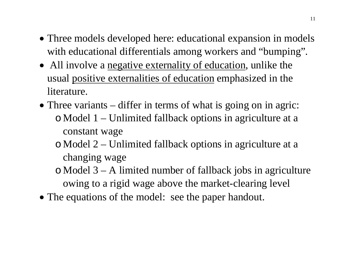- Three models developed here: educational expansion in models with educational differentials among workers and "bumping".
- All involve a <u>negative externality of education</u>, unlike the usual positive externalities of education emphasized in the literature.
- Three variants differ in terms of what is going on in agric: o Model 1 – Unlimited fallback options in agriculture at a constant wage
	- o Model 2 Unlimited fallback options in agriculture at a changing wage
	- o Model 3 A limited number of fallback jobs in agriculture owing to a rigid wage above the market-clearing level
- The equations of the model: see the paper handout.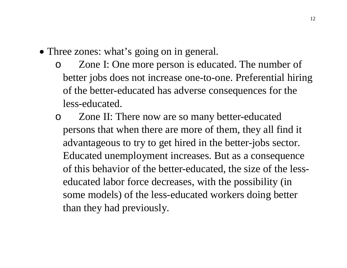- Three zones: what's going on in general.
	- o Zone I: One more person is educated. The number of better jobs does not increase one-to-one. Preferential hiring of the better-educated has adverse consequences for the less-educated.
	- o Zone II: There now are so many better-educated persons that when there are more of them, they all find it advantageous to try to get hired in the better-jobs sector. Educated unemployment increases. But as a consequence of this behavior of the better-educated, the size of the lesseducated labor force decreases, with the possibility (in some models) of the less-educated workers doing better than they had previously.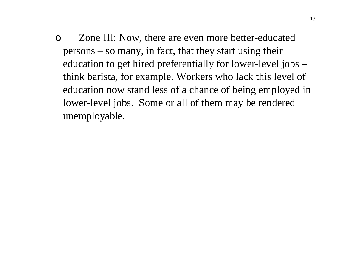o Zone III: Now, there are even more better-educated persons – so many, in fact, that they start using their education to get hired preferentially for lower-level jobs – think barista, for example. Workers who lack this level of education now stand less of a chance of being employed in lower-level jobs. Some or all of them may be rendered unemployable.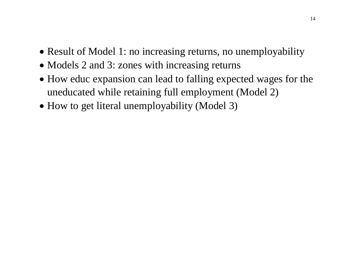- Result of Model 1: no increasing returns, no unemployability
- Models 2 and 3: zones with increasing returns
- How educ expansion can lead to falling expected wages for the uneducated while retaining full employment (Model 2)
- How to get literal unemployability (Model 3)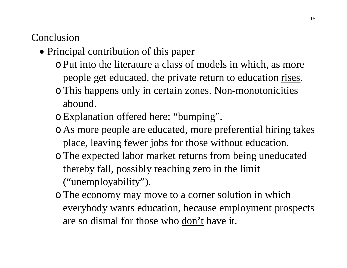# Conclusion

- Principal contribution of this paper
	- oPut into the literature a class of models in which, as more people get educated, the private return to education rises.
	- oThis happens only in certain zones. Non-monotonicities abound.
	- oExplanation offered here: "bumping".
	- o As more people are educated, more preferential hiring takes place, leaving fewer jobs for those without education.
	- oThe expected labor market returns from being uneducated thereby fall, possibly reaching zero in the limit ("unemployability").
	- oThe economy may move to a corner solution in which everybody wants education, because employment prospects are so dismal for those who don't have it.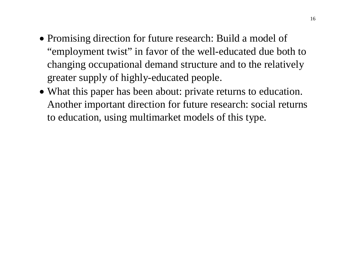- Promising direction for future research: Build a model of "employment twist" in favor of the well-educated due both to changing occupational demand structure and to the relatively greater supply of highly-educated people.
- What this paper has been about: private returns to education. Another important direction for future research: social returns to education, using multimarket models of this type.